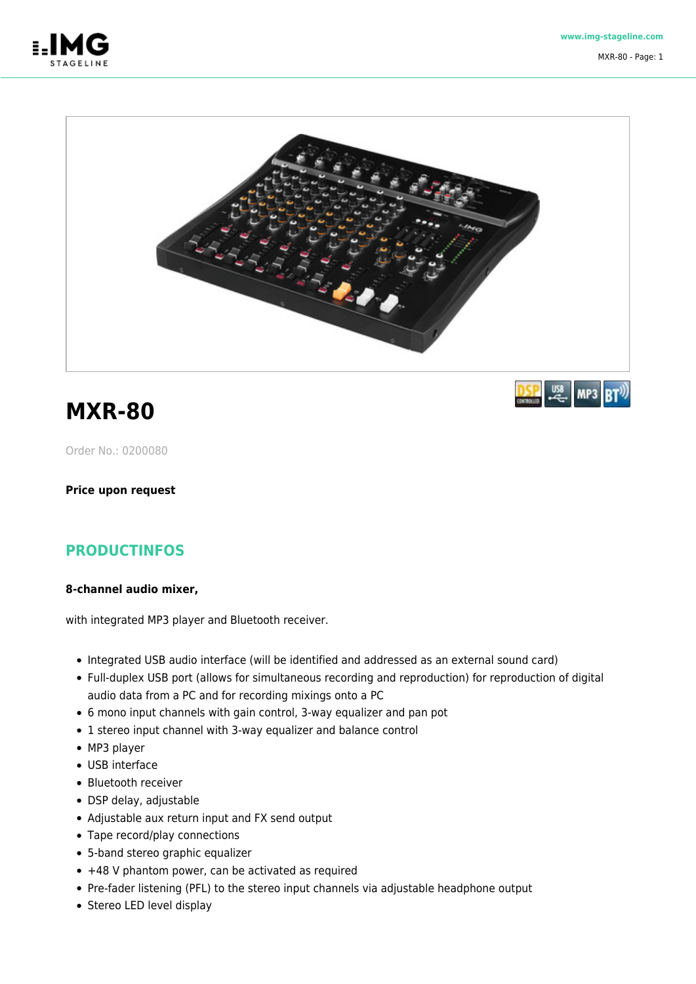



## **MXR-80**

Order No.: 0200080

**Price upon request**

## **PRODUCTINFOS**

## **8-channel audio mixer,**

with integrated MP3 player and Bluetooth receiver.

- Integrated USB audio interface (will be identified and addressed as an external sound card)
- Full-duplex USB port (allows for simultaneous recording and reproduction) for reproduction of digital audio data from a PC and for recording mixings onto a PC
- 6 mono input channels with gain control, 3-way equalizer and pan pot
- 1 stereo input channel with 3-way equalizer and balance control
- MP3 player
- USB interface
- Bluetooth receiver
- DSP delay, adjustable
- Adjustable aux return input and FX send output
- Tape record/play connections
- 5-band stereo graphic equalizer
- +48 V phantom power, can be activated as required
- Pre-fader listening (PFL) to the stereo input channels via adjustable headphone output
- Stereo LED level display